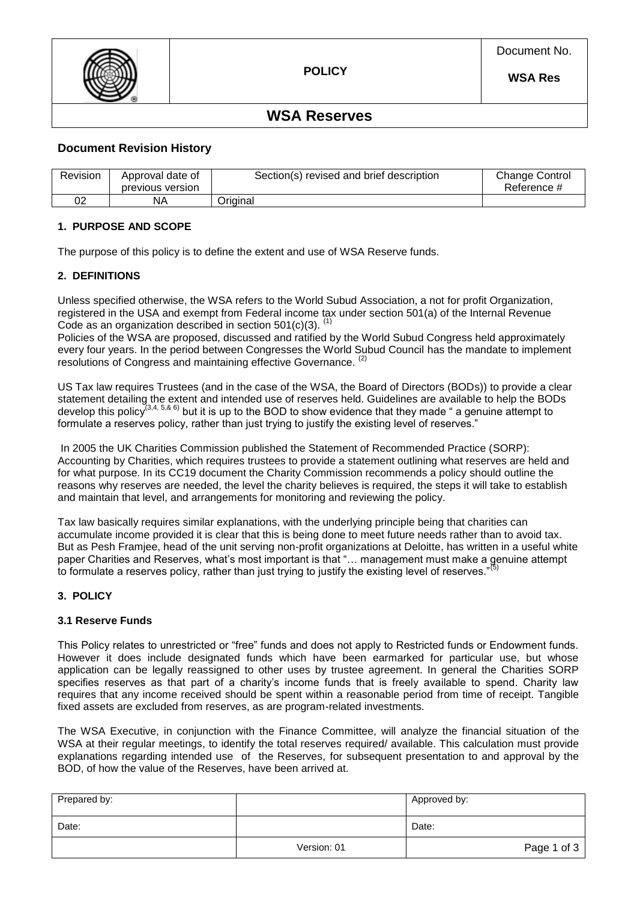

### **WSA Reserves**

### **Document Revision History**

| Revision | Approval date of<br>previous version | Section(s) revised and brief description | <b>Change Control</b><br>Reference # |
|----------|--------------------------------------|------------------------------------------|--------------------------------------|
| ∩∩       | ΝA                                   | Original                                 |                                      |

### **1. PURPOSE AND SCOPE**

The purpose of this policy is to define the extent and use of WSA Reserve funds.

### **2. DEFINITIONS**

Unless specified otherwise, the WSA refers to the World Subud Association, a not for profit Organization, registered in the USA and exempt from Federal income tax under section 501(a) of the Internal Revenue Code as an organization described in section  $501(c)(3)$ . <sup>(1)</sup>

Policies of the WSA are proposed, discussed and ratified by the World Subud Congress held approximately every four years. In the period between Congresses the World Subud Council has the mandate to implement resolutions of Congress and maintaining effective Governance.

US Tax law requires Trustees (and in the case of the WSA, the Board of Directors (BODs)) to provide a clear statement detailing the extent and intended use of reserves held. Guidelines are available to help the BODs develop this policy<sup>(3,4, 5,& 6)</sup> but it is up to the BOD to show evidence that they made " a genuine attempt to formulate a reserves policy, rather than just trying to justify the existing level of reserves."

In 2005 the UK Charities Commission published the Statement of Recommended Practice (SORP): Accounting by Charities, which requires trustees to provide a statement outlining what reserves are held and for what purpose. In its CC19 document the Charity Commission recommends a policy should outline the reasons why reserves are needed, the level the charity believes is required, the steps it will take to establish and maintain that level, and arrangements for monitoring and reviewing the policy.

Tax law basically requires similar explanations, with the underlying principle being that charities can accumulate income provided it is clear that this is being done to meet future needs rather than to avoid tax. But as Pesh Framjee, head of the unit serving non-profit organizations at Deloitte, has written in a useful white paper Charities and Reserves, what's most important is that "... management must make a genuine attempt to formulate a reserves policy, rather than just trying to justify the existing level of reserves."

### **3. POLICY**

### **3.1 Reserve Funds**

This Policy relates to unrestricted or "free" funds and does not apply to Restricted funds or Endowment funds. However it does include designated funds which have been earmarked for particular use, but whose application can be legally reassigned to other uses by trustee agreement. In general the Charities SORP specifies reserves as that part of a charity's income funds that is freely available to spend. Charity law requires that any income received should be spent within a reasonable period from time of receipt. Tangible fixed assets are excluded from reserves, as are program-related investments.

The WSA Executive, in conjunction with the Finance Committee, will analyze the financial situation of the WSA at their regular meetings, to identify the total reserves required/ available. This calculation must provide explanations regarding intended use of the Reserves, for subsequent presentation to and approval by the BOD, of how the value of the Reserves, have been arrived at.

| Prepared by: |             | Approved by: |
|--------------|-------------|--------------|
| Date:        |             | Date:        |
|              | Version: 01 | Page 1 of 3  |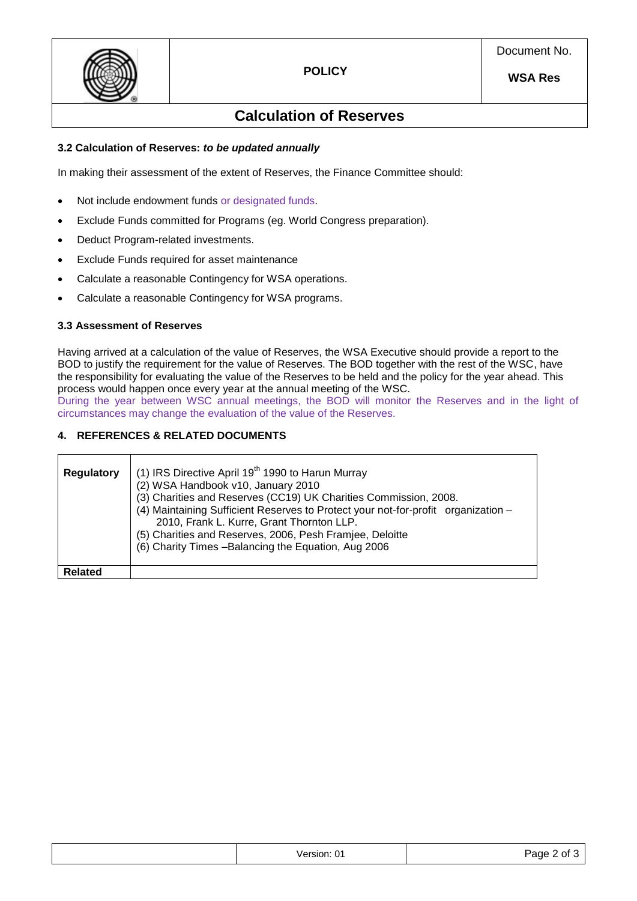

## **Calculation of Reserves**

### **3.2 Calculation of Reserves:** *to be updated annually*

In making their assessment of the extent of Reserves, the Finance Committee should:

- Not include endowment funds or designated funds.
- Exclude Funds committed for Programs (eg. World Congress preparation).
- Deduct Program-related investments.
- Exclude Funds required for asset maintenance
- Calculate a reasonable Contingency for WSA operations.
- Calculate a reasonable Contingency for WSA programs.

### **3.3 Assessment of Reserves**

Having arrived at a calculation of the value of Reserves, the WSA Executive should provide a report to the BOD to justify the requirement for the value of Reserves. The BOD together with the rest of the WSC, have the responsibility for evaluating the value of the Reserves to be held and the policy for the year ahead. This process would happen once every year at the annual meeting of the WSC.

During the year between WSC annual meetings, the BOD will monitor the Reserves and in the light of circumstances may change the evaluation of the value of the Reserves.

### **4. REFERENCES & RELATED DOCUMENTS**

| <b>Regulatory</b> | (1) IRS Directive April 19 <sup>th</sup> 1990 to Harun Murray<br>(2) WSA Handbook v10, January 2010<br>(3) Charities and Reserves (CC19) UK Charities Commission, 2008.<br>(4) Maintaining Sufficient Reserves to Protect your not-for-profit organization -<br>2010, Frank L. Kurre, Grant Thornton LLP.<br>(5) Charities and Reserves, 2006, Pesh Framjee, Deloitte<br>(6) Charity Times - Balancing the Equation, Aug 2006 |
|-------------------|-------------------------------------------------------------------------------------------------------------------------------------------------------------------------------------------------------------------------------------------------------------------------------------------------------------------------------------------------------------------------------------------------------------------------------|
| Related           |                                                                                                                                                                                                                                                                                                                                                                                                                               |

|  | Version: 01<br>. | $P$ age $\sim$<br>∵ ot J |
|--|------------------|--------------------------|
|--|------------------|--------------------------|